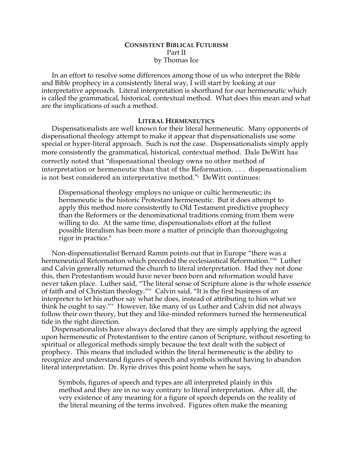# **CONSISTENT BIBLICAL FUTURISM** Part II by Thomas Ice

In an effort to resolve some differences among those of us who interpret the Bible and Bible prophecy in a consistently literal way, I will start by looking at our interpretative approach. Literal interpretation is shorthand for our hermeneutic which is called the grammatical, historical, contextual method. What does this mean and what are the implications of such a method.

## **LITERAL HERMENEUTICS**

Dispensationalists are well known for their literal hermeneutic. Many opponents of dispensational theology attempt to make it appear that dispensationalists use some special or hyper-literal approach. Such is not the case. Dispensationalists simply apply more consistently the grammatical, historical, contextual method. Dale DeWitt has correctly noted that "dispensational theology owns no other method of interpretation or hermeneutic than that of the Reformation. . . . dispensationalism is not best considered an interpretative method."i DeWitt continues:

Dispensational theology employs no unique or cultic hermeneutic; its hermeneutic is the historic Protestant hermeneutic. But it does attempt to apply this method more consistently to Old Testament predictive prophecy than the Reformers or the denominational traditions coming from them were willing to do. At the same time, dispensationalists effort at the fullest possible literalism has been more a matter of principle than thoroughgoing rigor in practice.<sup>ii</sup>

Non-dispensationalist Bernard Ramm points out that in Europe "there was a hermeneutical Reformation which preceded the ecclesiastical Reformation."iii Luther and Calvin generally returned the church to literal interpretation. Had they not done this, then Protestantism would have never been born and reformation would have never taken place. Luther said, "The literal sense of Scripture alone is the whole essence of faith and of Christian theology."iv Calvin said, "It is the first business of an interpreter to let his author say what he does, instead of attributing to him what we think he ought to say."<sup>v</sup> However, like many of us Luther and Calvin did not always follow their own theory, but they and like-minded reformers turned the hermeneutical tide in the right direction.

Dispensationalists have always declared that they are simply applying the agreed upon hermeneutic of Protestantism to the entire canon of Scripture, without resorting to spiritual or allegorical methods simply because the text dealt with the subject of prophecy. This means that included within the literal hermeneutic is the ability to recognize and understand figures of speech and symbols without having to abandon literal interpretation. Dr. Ryrie drives this point home when he says,

Symbols, figures of speech and types are all interpreted plainly in this method and they are in no way contrary to literal interpretation. After all, the very existence of any meaning for a figure of speech depends on the reality of the literal meaning of the terms involved. Figures often make the meaning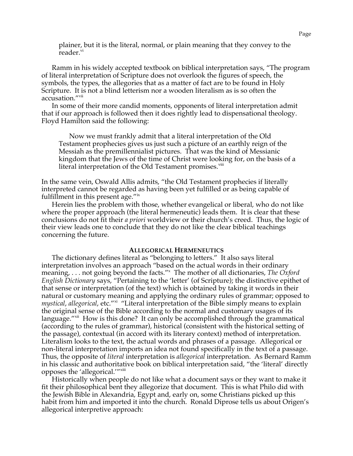plainer, but it is the literal, normal, or plain meaning that they convey to the reader.<sup>vi</sup>

Ramm in his widely accepted textbook on biblical interpretation says, "The program of literal interpretation of Scripture does not overlook the figures of speech, the symbols, the types, the allegories that as a matter of fact are to be found in Holy Scripture. It is not a blind letterism nor a wooden literalism as is so often the accusation."vii

In some of their more candid moments, opponents of literal interpretation admit that if our approach is followed then it does rightly lead to dispensational theology. Floyd Hamilton said the following:

Now we must frankly admit that a literal interpretation of the Old Testament prophecies gives us just such a picture of an earthly reign of the Messiah as the premillennialist pictures. That was the kind of Messianic kingdom that the Jews of the time of Christ were looking for, on the basis of a literal interpretation of the Old Testament promises.<sup>viii</sup>

In the same vein, Oswald Allis admits, "the Old Testament prophecies if literally interpreted cannot be regarded as having been yet fulfilled or as being capable of fulfillment in this present age."ix

Herein lies the problem with those, whether evangelical or liberal, who do not like where the proper approach (the literal hermeneutic) leads them. It is clear that these conclusions do not fit their *a priori* worldview or their church's creed. Thus, the logic of their view leads one to conclude that they do not like the clear biblical teachings concerning the future.

#### **ALLEGORICAL HERMENEUTICS**

The dictionary defines literal as "belonging to letters." It also says literal interpretation involves an approach "based on the actual words in their ordinary meaning, . . . not going beyond the facts."<sup>x</sup> The mother of all dictionaries, The Oxford *English Dictionary* says, "Pertaining to the 'letter' (of Scripture); the distinctive epithet of that sense or interpretation (of the text) which is obtained by taking it words in their natural or customary meaning and applying the ordinary rules of grammar; opposed to *mystical, allegorical, etc.*"<sup>xi</sup> "Literal interpretation of the Bible simply means to explain the original sense of the Bible according to the normal and customary usages of its language."<sup>xii</sup> How is this done? It can only be accomplished through the grammatical (according to the rules of grammar), historical (consistent with the historical setting of the passage), contextual (in accord with its literary context) method of interpretation. Literalism looks to the text, the actual words and phrases of a passage. Allegorical or non-literal interpretation imports an idea not found specifically in the text of a passage. Thus, the opposite of *literal* interpretation is *allegorical* interpretation. As Bernard Ramm in his classic and authoritative book on biblical interpretation said, "the 'literal' directly opposes the 'allegorical.'"<sup>xiii</sup>

Historically when people do not like what a document says or they want to make it fit their philosophical bent they allegorize that document. This is what Philo did with the Jewish Bible in Alexandria, Egypt and, early on, some Christians picked up this habit from him and imported it into the church. Ronald Diprose tells us about Origen's allegorical interpretive approach: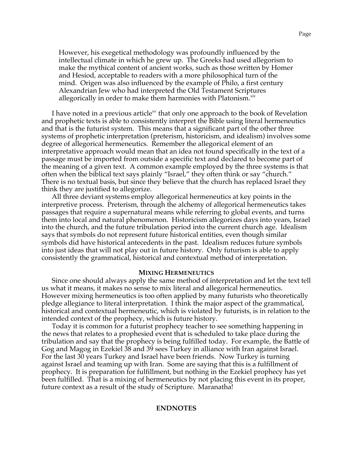However, his exegetical methodology was profoundly influenced by the intellectual climate in which he grew up. The Greeks had used allegorism to make the mythical content of ancient works, such as those written by Homer and Hesiod, acceptable to readers with a more philosophical turn of the mind. Origen was also influenced by the example of Philo, a first century Alexandrian Jew who had interpreted the Old Testament Scriptures allegorically in order to make them harmonies with Platonism.<sup>xiv</sup>

I have noted in a previous article<sup>xy</sup> that only one approach to the book of Revelation and prophetic texts is able to consistently interpret the Bible using literal hermeneutics and that is the futurist system. This means that a significant part of the other three systems of prophetic interpretation (preterism, historicism, and idealism) involves some degree of allegorical hermeneutics. Remember the allegorical element of an interpretative approach would mean that an idea not found specifically in the text of a passage must be imported from outside a specific text and declared to become part of the meaning of a given text. A common example employed by the three systems is that often when the biblical text says plainly "Israel," they often think or say "church." There is no textual basis, but since they believe that the church has replaced Israel they think they are justified to allegorize.

All three deviant systems employ allegorical hermeneutics at key points in the interpretive process. Preterism, through the alchemy of allegorical hermeneutics takes passages that require a supernatural means while referring to global events, and turns them into local and natural phenomenon. Historicism allegorizes days into years, Israel into the church, and the future tribulation period into the current church age. Idealism says that symbols do not represent future historical entities, even though similar symbols did have historical antecedents in the past. Idealism reduces future symbols into just ideas that will not play out in future history. Only futurism is able to apply consistently the grammatical, historical and contextual method of interpretation.

#### **MIXING HERMENEUTICS**

Since one should always apply the same method of interpretation and let the text tell us what it means, it makes no sense to mix literal and allegorical hermeneutics. However mixing hermeneutics is too often applied by many futurists who theoretically pledge allegiance to literal interpretation. I think the major aspect of the grammatical, historical and contextual hermeneutic, which is violated by futurists, is in relation to the intended context of the prophecy, which is future history.

Today it is common for a futurist prophecy teacher to see something happening in the news that relates to a prophesied event that is scheduled to take place during the tribulation and say that the prophecy is being fulfilled today. For example, the Battle of Gog and Magog in Ezekiel 38 and 39 sees Turkey in alliance with Iran against Israel. For the last 30 years Turkey and Israel have been friends. Now Turkey is turning against Israel and teaming up with Iran. Some are saying that this is a fulfillment of prophecy. It is preparation for fulfillment, but nothing in the Ezekiel prophecy has yet been fulfilled. That is a mixing of hermeneutics by not placing this event in its proper, future context as a result of the study of Scripture. Maranatha!

### **ENDNOTES**